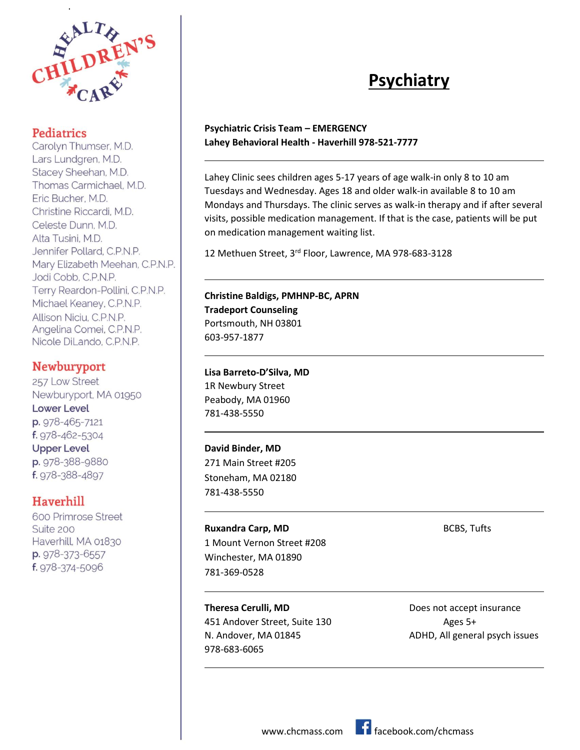

.

Carolyn Thumser, M.D. Lars Lundgren, M.D. Stacey Sheehan, M.D. Thomas Carmichael, M.D. Eric Bucher, M.D. Christine Riccardi, M.D. Celeste Dunn, M.D. Alta Tusini, M.D. Jennifer Pollard, C.P.N.P. Mary Elizabeth Meehan, C.P.N.P. Jodi Cobb, C.P.N.P. Terry Reardon-Pollini, C.P.N.P. Michael Keaney, C.P.N.P. Allison Niciu, C.P.N.P. Angelina Comei, C.P.N.P. Nicole DiLando, C.P.N.P.

#### **Newburyport**

257 Low Street Newburyport, MA 01950 **Lower Level** p. 978-465-7121 f. 978-462-5304 **Upper Level** p. 978-388-9880 f. 978-388-4897

#### Haverhill

600 Primrose Street Suite 200 Haverhill, MA 01830 p. 978-373-6557 f. 978-374-5096

# **Psychiatry**

#### **Psychiatric Crisis Team – EMERGENCY Lahey Behavioral Health - Haverhill 978-521-7777**

Lahey Clinic sees children ages 5-17 years of age walk-in only 8 to 10 am Tuesdays and Wednesday. Ages 18 and older walk-in available 8 to 10 am Mondays and Thursdays. The clinic serves as walk-in therapy and if after several visits, possible medication management. If that is the case, patients will be put on medication management waiting list.

12 Methuen Street, 3rd Floor, Lawrence, MA 978-683-3128

#### **Christine Baldigs, PMHNP-BC, APRN Tradeport Counseling**

Portsmouth, NH 03801 603-957-1877

 $\overline{\phantom{0}}$ 

L

 $\overline{\phantom{0}}$ 

L

 $\overline{\phantom{0}}$ 

 $\overline{\phantom{0}}$ 

L

#### **Lisa Barreto-D'Silva, MD**

1R Newbury Street Peabody, MA 01960 781-438-5550

#### **David Binder, MD**

271 Main Street #205 Stoneham, MA 02180 781-438-5550

## **Ruxandra Carp, MD** BCBS, Tufts

1 Mount Vernon Street #208 Winchester, MA 01890 781-369-0528

**Theresa Cerulli, MD Does not accept insurance** 451 Andover Street, Suite 130 Ages 5+ 978-683-6065

N. Andover, MA 01845 ADHD, All general psych issues

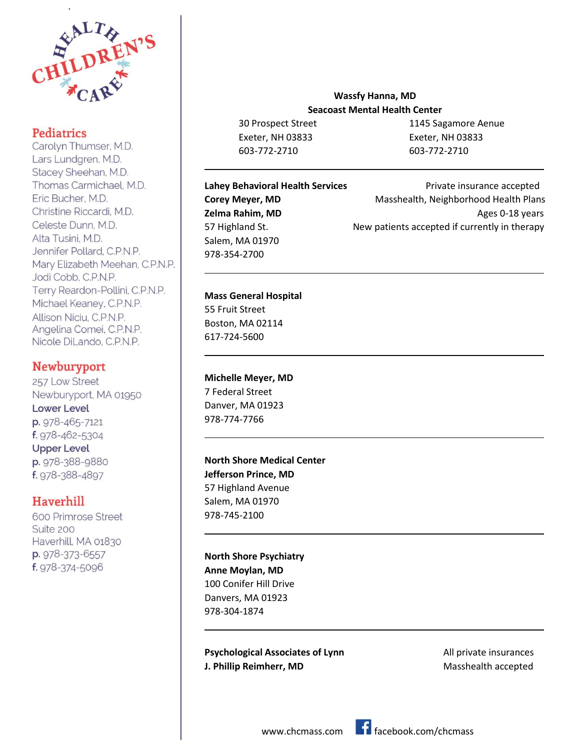

.

Carolyn Thumser, M.D. Lars Lundgren, M.D. Stacey Sheehan, M.D. Thomas Carmichael, M.D. Eric Bucher, M.D. Christine Riccardi, M.D. Celeste Dunn, M.D. Alta Tusini, M.D. Jennifer Pollard, C.P.N.P. Mary Elizabeth Meehan, C.P.N.P. Jodi Cobb, C.P.N.P. Terry Reardon-Pollini, C.P.N.P. Michael Keaney, C.P.N.P. Allison Niciu, C.P.N.P. Angelina Comei, C.P.N.P. Nicole DiLando, C.P.N.P.

#### **Newburyport**

257 Low Street Newburyport, MA 01950 **Lower Level** p. 978-465-7121 f. 978-462-5304 **Upper Level** p. 978-388-9880 f. 978-388-4897

#### Haverhill

600 Primrose Street Suite 200 Haverhill, MA 01830 p. 978-373-6557 f. 978-374-5096

#### **Wassfy Hanna, MD Seacoast Mental Health Center**

Exeter, NH 03833 Exeter, NH 03833 603-772-2710 603-772-2710

30 Prospect Street 1145 Sagamore Aenue

# Salem, MA 01970 978-354-2700

**Lahey Behavioral Health Services Private insurance accepted Corey Meyer, MD** Masshealth, Neighborhood Health Plans **Zelma Rahim, MD** Ages 0-18 years 57 Highland St. New patients accepted if currently in therapy

#### **Mass General Hospital**

55 Fruit Street Boston, MA 02114 617-724-5600

 $\overline{\phantom{0}}$ 

 $\overline{\phantom{0}}$ 

 $\overline{\phantom{0}}$ 

 $\overline{\phantom{0}}$ 

L

 $\overline{\phantom{0}}$ 

### **Michelle Meyer, MD**

7 Federal Street Danver, MA 01923 978-774-7766

#### **North Shore Medical Center Jefferson Prince, MD**

57 Highland Avenue Salem, MA 01970 978-745-2100

#### **North Shore Psychiatry**

**Anne Moylan, MD** 100 Conifer Hill Drive Danvers, MA 01923 978-304-1874

**Psychological Associates of Lynn** All private insurances **J. Phillip Reimherr, MD** Masshealth accepted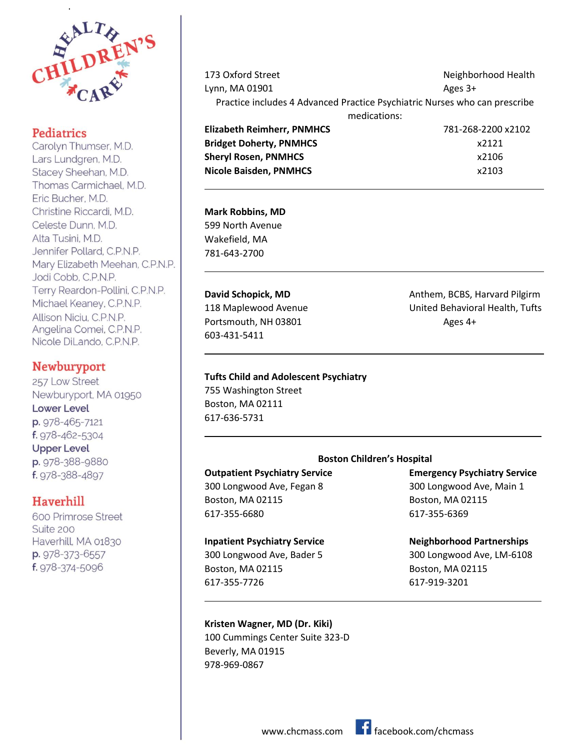

.

Carolyn Thumser, M.D. Lars Lundgren, M.D. Stacey Sheehan, M.D. Thomas Carmichael, M.D. Eric Bucher, M.D. Christine Riccardi, M.D. Celeste Dunn, M.D. Alta Tusini, M.D. Jennifer Pollard, C.P.N.P. Mary Elizabeth Meehan, C.P.N.P. Jodi Cobb, C.P.N.P. Terry Reardon-Pollini, C.P.N.P. Michael Keaney, C.P.N.P. Allison Niciu, C.P.N.P. Angelina Comei, C.P.N.P. Nicole DiLando, C.P.N.P.

#### **Newburyport**

257 Low Street Newburyport, MA 01950 **Lower Level** p. 978-465-7121 f. 978-462-5304 **Upper Level** p. 978-388-9880 f. 978-388-4897

#### Haverhill

600 Primrose Street Suite 200 Haverhill, MA 01830 p. 978-373-6557 f. 978-374-5096

| 173 Oxford Street                                                          | Neighborhood Health |
|----------------------------------------------------------------------------|---------------------|
| Lynn, MA 01901                                                             | Ages $3+$           |
| Practice includes 4 Advanced Practice Psychiatric Nurses who can prescribe |                     |
| medications:                                                               |                     |
| <b>Elizabeth Reimherr, PNMHCS</b>                                          | 781-268-2200 x2102  |
| <b>Bridget Doherty, PNMHCS</b>                                             | x2121               |
| <b>Sheryl Rosen, PNMHCS</b>                                                | x2106               |
| <b>Nicole Baisden, PNMHCS</b>                                              | x2103               |

#### **Mark Robbins, MD**

 $\overline{\phantom{0}}$ 

L

 $\overline{\phantom{0}}$ 

 $\overline{\phantom{0}}$ 

L

599 North Avenue Wakefield, MA 781-643-2700

# Portsmouth, NH 03801 Ages 4+ 603-431-5411

#### **Tufts Child and Adolescent Psychiatry**

755 Washington Street Boston, MA 02111 617-636-5731

# **David Schopick, MD Anthem, BCBS, Harvard Pilgirm** 118 Maplewood Avenue **National State United Behavioral Health, Tufts**

#### **Boston Children's Hospital**

Boston, MA 02115 Boston, MA 02115 617-355-6680 617-355-6369

#### **Inpatient Psychiatry Service <b>Neighborhood Partnerships**

## Boston, MA 02115 Boston, MA 02115 617-355-7726 617-919-3201

#### **Kristen Wagner, MD (Dr. Kiki)**

100 Cummings Center Suite 323-D Beverly, MA 01915 978-969-0867

**Outpatient Psychiatry Service Emergency Psychiatry Service** 300 Longwood Ave, Fegan 8 300 Longwood Ave, Main 1

300 Longwood Ave, Bader 5 300 Longwood Ave, LM-6108